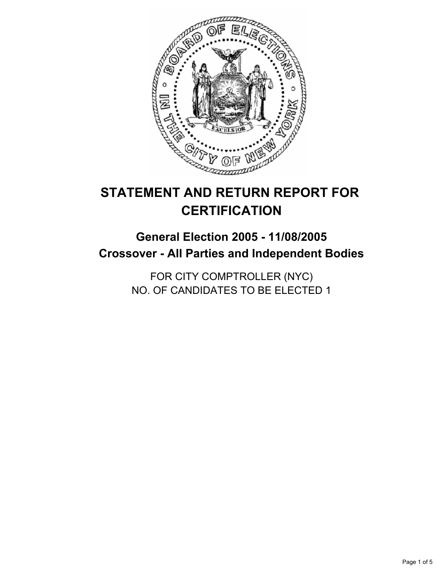

# **STATEMENT AND RETURN REPORT FOR CERTIFICATION**

# **General Election 2005 - 11/08/2005 Crossover - All Parties and Independent Bodies**

FOR CITY COMPTROLLER (NYC) NO. OF CANDIDATES TO BE ELECTED 1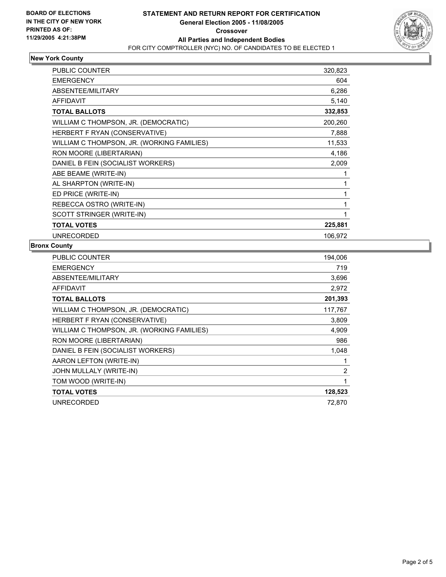

## **New York County**

| <b>PUBLIC COUNTER</b>                      | 320,823 |
|--------------------------------------------|---------|
| <b>EMERGENCY</b>                           | 604     |
| ABSENTEE/MILITARY                          | 6,286   |
| <b>AFFIDAVIT</b>                           | 5,140   |
| <b>TOTAL BALLOTS</b>                       | 332,853 |
| WILLIAM C THOMPSON, JR. (DEMOCRATIC)       | 200,260 |
| HERBERT F RYAN (CONSERVATIVE)              | 7,888   |
| WILLIAM C THOMPSON, JR. (WORKING FAMILIES) | 11,533  |
| RON MOORE (LIBERTARIAN)                    | 4,186   |
| DANIEL B FEIN (SOCIALIST WORKERS)          | 2,009   |
| ABE BEAME (WRITE-IN)                       |         |
| AL SHARPTON (WRITE-IN)                     |         |
| ED PRICE (WRITE-IN)                        |         |
| REBECCA OSTRO (WRITE-IN)                   |         |
| SCOTT STRINGER (WRITE-IN)                  |         |
| <b>TOTAL VOTES</b>                         | 225,881 |
| <b>UNRECORDED</b>                          | 106,972 |

#### **Bronx County**

| <b>PUBLIC COUNTER</b>                      | 194,006 |
|--------------------------------------------|---------|
| <b>EMERGENCY</b>                           | 719     |
| ABSENTEE/MILITARY                          | 3,696   |
| AFFIDAVIT                                  | 2,972   |
| <b>TOTAL BALLOTS</b>                       | 201,393 |
| WILLIAM C THOMPSON, JR. (DEMOCRATIC)       | 117,767 |
| HERBERT F RYAN (CONSERVATIVE)              | 3,809   |
| WILLIAM C THOMPSON, JR. (WORKING FAMILIES) | 4,909   |
| RON MOORE (LIBERTARIAN)                    | 986     |
| DANIEL B FEIN (SOCIALIST WORKERS)          | 1,048   |
| AARON LEFTON (WRITE-IN)                    |         |
| JOHN MULLALY (WRITE-IN)                    | 2       |
| TOM WOOD (WRITE-IN)                        |         |
| <b>TOTAL VOTES</b>                         | 128,523 |
| <b>UNRECORDED</b>                          | 72,870  |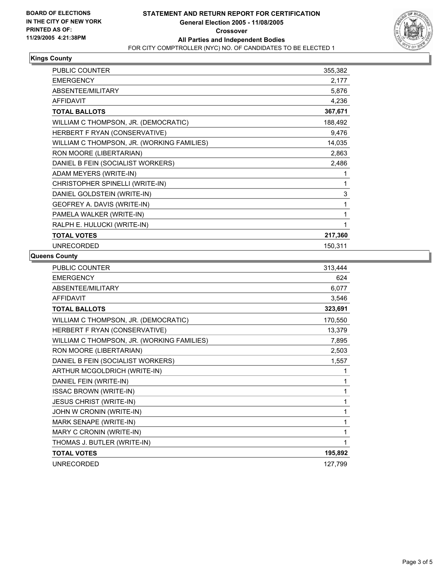

#### **Kings County**

| <b>PUBLIC COUNTER</b>                      | 355,382 |
|--------------------------------------------|---------|
| <b>EMERGENCY</b>                           | 2,177   |
| ABSENTEE/MILITARY                          | 5,876   |
| <b>AFFIDAVIT</b>                           | 4,236   |
| <b>TOTAL BALLOTS</b>                       | 367,671 |
| WILLIAM C THOMPSON, JR. (DEMOCRATIC)       | 188,492 |
| HERBERT F RYAN (CONSERVATIVE)              | 9,476   |
| WILLIAM C THOMPSON, JR. (WORKING FAMILIES) | 14,035  |
| RON MOORE (LIBERTARIAN)                    | 2,863   |
| DANIEL B FEIN (SOCIALIST WORKERS)          | 2,486   |
| ADAM MEYERS (WRITE-IN)                     |         |
| CHRISTOPHER SPINELLI (WRITE-IN)            |         |
| DANIEL GOLDSTEIN (WRITE-IN)                | 3       |
| GEOFREY A. DAVIS (WRITE-IN)                |         |
| PAMELA WALKER (WRITE-IN)                   |         |
| RALPH E. HULUCKI (WRITE-IN)                |         |
| <b>TOTAL VOTES</b>                         | 217,360 |
| <b>UNRECORDED</b>                          | 150,311 |

#### **Queens County**

| PUBLIC COUNTER                             | 313,444 |
|--------------------------------------------|---------|
| <b>EMERGENCY</b>                           | 624     |
| <b>ABSENTEE/MILITARY</b>                   | 6,077   |
| <b>AFFIDAVIT</b>                           | 3,546   |
| <b>TOTAL BALLOTS</b>                       | 323,691 |
| WILLIAM C THOMPSON, JR. (DEMOCRATIC)       | 170,550 |
| HERBERT F RYAN (CONSERVATIVE)              | 13,379  |
| WILLIAM C THOMPSON, JR. (WORKING FAMILIES) | 7,895   |
| RON MOORE (LIBERTARIAN)                    | 2,503   |
| DANIEL B FEIN (SOCIALIST WORKERS)          | 1,557   |
| ARTHUR MCGOLDRICH (WRITE-IN)               |         |
| DANIEL FEIN (WRITE-IN)                     |         |
| <b>ISSAC BROWN (WRITE-IN)</b>              |         |
| <b>JESUS CHRIST (WRITE-IN)</b>             |         |
| JOHN W CRONIN (WRITE-IN)                   |         |
| MARK SENAPE (WRITE-IN)                     |         |
| MARY C CRONIN (WRITE-IN)                   |         |
| THOMAS J. BUTLER (WRITE-IN)                |         |
| <b>TOTAL VOTES</b>                         | 195,892 |
| UNRECORDED                                 | 127,799 |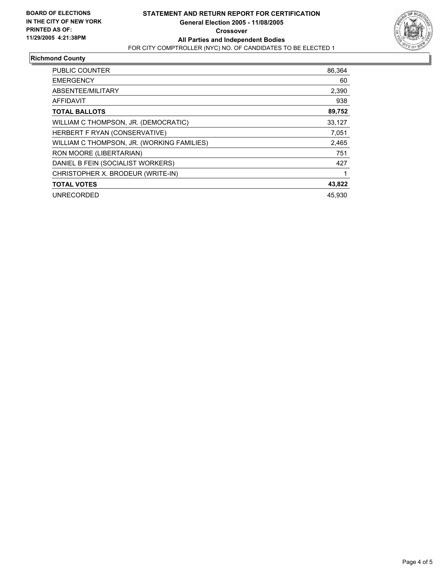

## **Richmond County**

| <b>PUBLIC COUNTER</b>                      | 86.364 |
|--------------------------------------------|--------|
| <b>EMERGENCY</b>                           | 60     |
| ABSENTEE/MILITARY                          | 2,390  |
| <b>AFFIDAVIT</b>                           | 938    |
| <b>TOTAL BALLOTS</b>                       | 89,752 |
| WILLIAM C THOMPSON, JR. (DEMOCRATIC)       | 33,127 |
| HERBERT F RYAN (CONSERVATIVE)              | 7.051  |
| WILLIAM C THOMPSON, JR. (WORKING FAMILIES) | 2,465  |
| RON MOORE (LIBERTARIAN)                    | 751    |
| DANIEL B FEIN (SOCIALIST WORKERS)          | 427    |
| CHRISTOPHER X. BRODEUR (WRITE-IN)          |        |
| <b>TOTAL VOTES</b>                         | 43,822 |
| <b>UNRECORDED</b>                          | 45.930 |